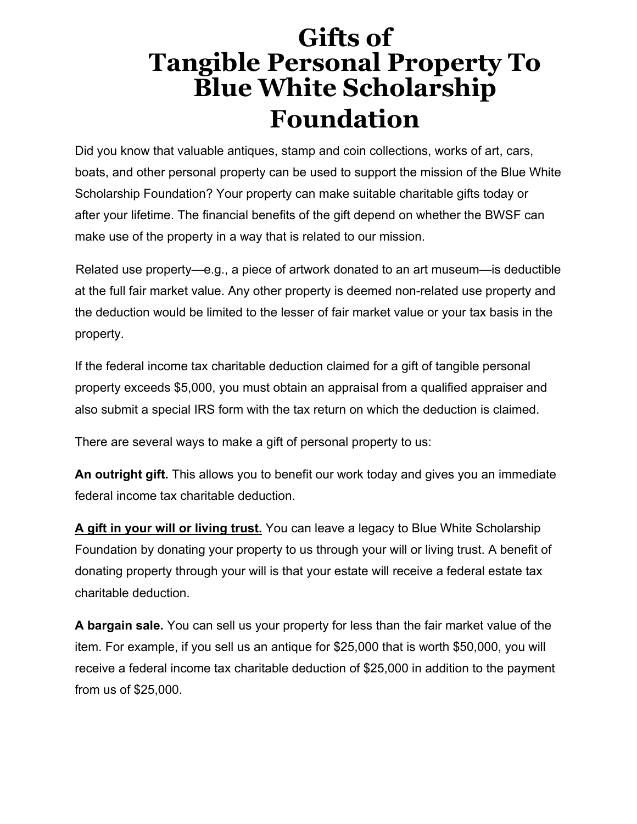## **Gifts of Tangible Personal Property To Blue White Scholarship Foundation**

Did you know that valuable antiques, stamp and coin collections, works of art, cars, boats, and other personal property can be used to support the mission of the Blue White Scholarship Foundation? Your property can make suitable charitable gifts today or after your lifetime. The financial benefits of the gift depend on whether the BWSF can make use of the property in a way that is related to our mission.

Related use property—e.g., a piece of artwork donated to an art museum—is deductible at the full fair market value. Any other property is deemed non-related use property and the deduction would be limited to the lesser of fair market value or your tax basis in the property.

If the federal income tax charitable deduction claimed for a gift of tangible personal property exceeds \$5,000, you must obtain an appraisal from a qualified appraiser and also submit a special IRS form with the tax return on which the deduction is claimed.

There are several ways to make a gift of personal property to us:

**An outright gift.** This allows you to benefit our work today and gives you an immediate federal income tax charitable deduction.

**A gift in your will or living trust.** You can leave a legacy to Blue White Scholarship Foundation by donating your property to us through your will or living trust. A benefit of donating property through your will is that your estate will receive a federal estate tax charitable deduction.

**A bargain sale.** You can sell us your property for less than the fair market value of the item. For example, if you sell us an antique for \$25,000 that is worth \$50,000, you will receive a federal income tax charitable deduction of \$25,000 in addition to the payment from us of \$25,000.